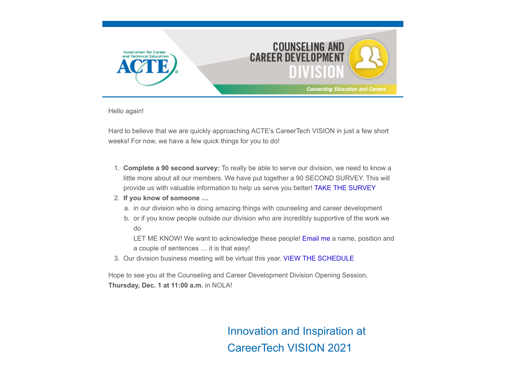

Hello again!

Hard to believe that we are quickly approaching ACTE's CareerTech VISION in just a few short weeks! For now, we have a few quick things for you to do!

- 1. **Complete a 90 second survey:** To really be able to serve our division, we need to know a little more about all our members. We have put together a 90 SECOND SURVEY. This will provide us with valuable information to help us serve you better! [TAKE THE SURVEY](https://acte.informz.net/survistapro/sn.asp?u=0&gid=347368A6-44F7-4B1C-8BCC-F06CE02F6A9A)
- 2. **If you know of someone …**
	- a. in our division who is doing amazing things with counseling and career development
	- b. or if you know people outside our division who are incredibly supportive of the work we do

LET ME KNOW! We want to acknowledge these people! [Email me](mailto:tgibbons@rcps.us%20?subject=Who%20to%20acknowledge) a name, position and a couple of sentences … it is that easy!

3. Our division business meeting will be virtual this year. [VIEW THE SCHEDULE](https://www.acteonline.org/region-division-meetings/)

Hope to see you at the Counseling and Career Development Division Opening Session, **Thursday, Dec. 1 at 11:00 a.m.** in NOLA!

> Innovation and Inspiration at CareerTech VISION 2021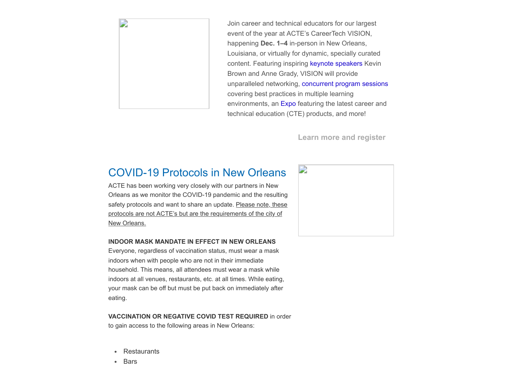

Join career and technical educators for our largest event of the year at ACTE's CareerTech VISION, happening **Dec. 1–4** in-person in New Orleans, Louisiana, or virtually for dynamic, specially curated content. Featuring inspiring [keynote speakers](https://www.careertechvision.com/about.cfm) Kevin Brown and Anne Grady, VISION will provide unparalleled networking, [concurrent program sessions](https://www.careertechvision.com/program_schedule.cfm) covering best practices in multiple learning environments, an [Expo](https://www.careertechvision.com/current_exhibitors.cfm) featuring the latest career and technical education (CTE) products, and more!

**[Learn more and register](https://www.careertechvision.com/index.cfm)**

#### COVID-19 Protocols in New Orleans

ACTE has been working very closely with our partners in New Orleans as we monitor the COVID-19 pandemic and the resulting safety protocols and want to share an update. Please note, these protocols are not ACTE's but are the requirements of the city of New Orleans.

#### **INDOOR MASK MANDATE IN EFFECT IN NEW ORLEANS**

Everyone, regardless of vaccination status, must wear a mask indoors when with people who are not in their immediate household. This means, all attendees must wear a mask while indoors at all venues, restaurants, etc. at all times. While eating, your mask can be off but must be put back on immediately after eating.

**VACCINATION OR NEGATIVE COVID TEST REQUIRED** in order to gain access to the following areas in New Orleans:

- Restaurants
- Bars $\bullet$

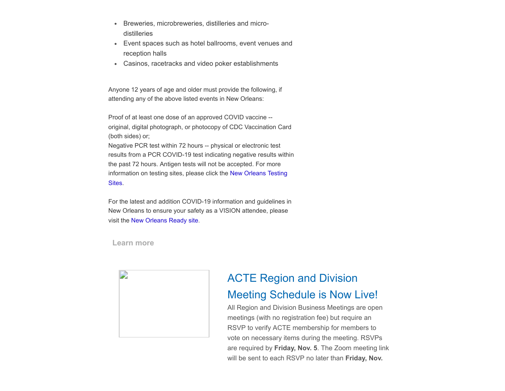- $\bullet$ Breweries, microbreweries, distilleries and microdistilleries
- Event spaces such as hotel ballrooms, event venues and reception halls
- Casinos, racetracks and video poker establishments

Anyone 12 years of age and older must provide the following, if attending any of the above listed events in New Orleans:

Proof of at least one dose of an approved COVID vaccine - original, digital photograph, or photocopy of CDC Vaccination Card (both sides) or;

Negative PCR test within 72 hours -- physical or electronic test results from a PCR COVID-19 test indicating negative results within the past 72 hours. Antigen tests will not be accepted. For more [information on testing sites, please click the](https://ready.nola.gov/incident/coronavirus/testing/) New Orleans Testing Sites.

For the latest and addition COVID-19 information and guidelines in New Orleans to ensure your safety as a VISION attendee, please visit the [New Orleans Ready site.](https://ready.nola.gov/incident/coronavirus/safe-reopening/)

**[Learn more](https://ready.nola.gov/incident/coronavirus/safe-reopening/)**



## ACTE Region and Division Meeting Schedule is Now Live!

All Region and Division Business Meetings are open meetings (with no registration fee) but require an RSVP to verify ACTE membership for members to vote on necessary items during the meeting. RSVPs are required by **Friday, Nov. 5**. The Zoom meeting link will be sent to each RSVP no later than **Friday, Nov.**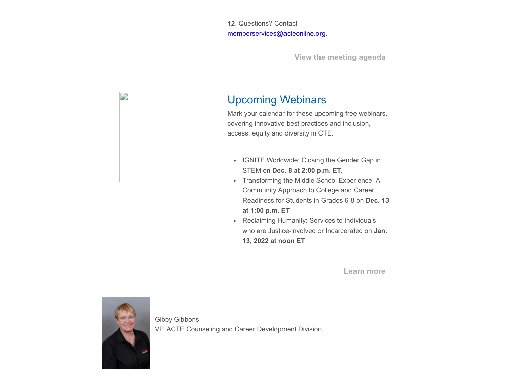**12**. Questions? Contact [memberservices@acteonline.org.](mailto:memberservices@acteonline.org?subject=Region%2FDivision%20Meeting%20Schedule)

**[View the meeting agenda](https://www.acteonline.org/region-division-meetings/)**



### Upcoming Webinars

Mark your calendar for these upcoming free webinars, covering innovative best practices and inclusion, access, equity and diversity in CTE.

- IGNITE Worldwide: Closing the Gender Gap in STEM on **Dec. 8 at 2:00 p.m. ET.**
- Transforming the Middle School Experience: A Community Approach to College and Career Readiness for Students in Grades 6-8 on **Dec. 13 at 1:00 p.m. ET**
- Reclaiming Humanity: Services to Individuals who are Justice-involved or Incarcerated on **Jan. 13, 2022 at noon ET**

**[Learn more](https://www.acteonline.org/webinars/)**



Gibby Gibbons VP, ACTE Counseling and Career Development Division